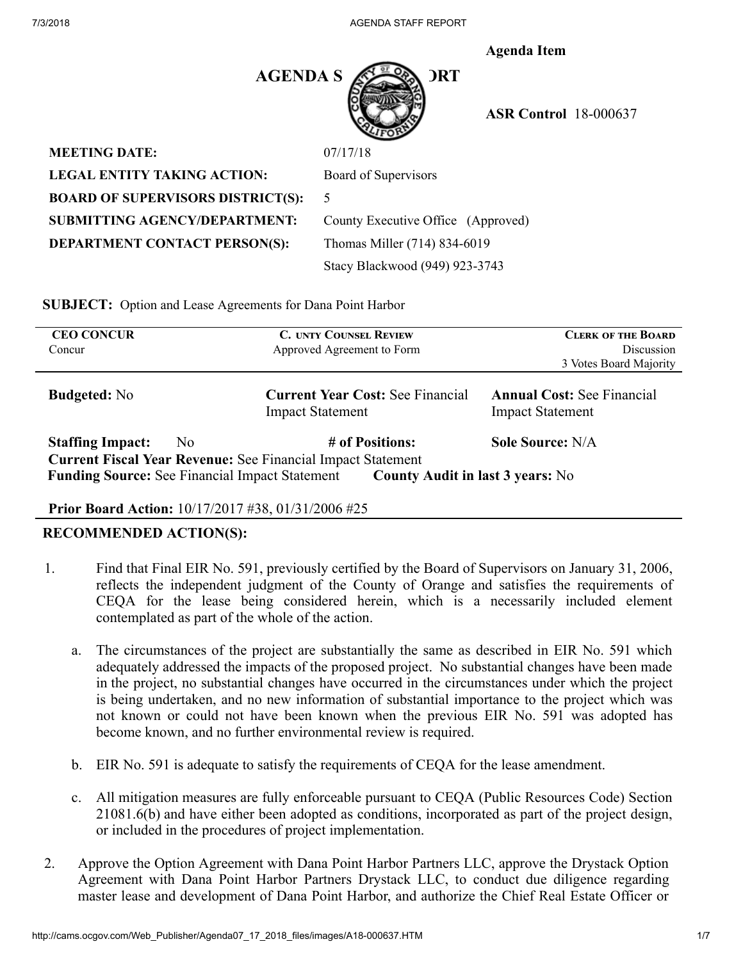**Agenda Item** 



 **ASR Control** 18-000637

| <b>MEETING DATE:</b>                     | 07/17/18            |
|------------------------------------------|---------------------|
| <b>LEGAL ENTITY TAKING ACTION:</b>       | Board of            |
| <b>BOARD OF SUPERVISORS DISTRICT(S):</b> | 5                   |
| <b>SUBMITTING AGENCY/DEPARTMENT:</b>     | County E            |
| <b>DEPARTMENT CONTACT PERSON(S):</b>     | Thomas <sup>1</sup> |
|                                          |                     |

Board of Supervisors County Executive Office (Approved) **DEPARTMENT CONTACT PERSON(S):** Thomas Miller (714) 834-6019 Stacy Blackwood (949) 923-3743

**SUBJECT:** Option and Lease Agreements for Dana Point Harbor

| <b>CEO CONCUR</b><br>Concur               | <b>C. UNTY COUNSEL REVIEW</b><br>Approved Agreement to Form                                                                                                                               | <b>CLERK OF THE BOARD</b><br>Discussion<br>3 Votes Board Majority |
|-------------------------------------------|-------------------------------------------------------------------------------------------------------------------------------------------------------------------------------------------|-------------------------------------------------------------------|
| <b>Budgeted:</b> No                       | <b>Current Year Cost: See Financial</b><br><b>Impact Statement</b>                                                                                                                        | <b>Annual Cost: See Financial</b><br><b>Impact Statement</b>      |
| <b>Staffing Impact:</b><br>N <sub>0</sub> | # of Positions:<br><b>Current Fiscal Year Revenue: See Financial Impact Statement</b><br><b>Funding Source: See Financial Impact Statement</b><br><b>County Audit in last 3 years:</b> No | Sole Source: N/A                                                  |

#### **Prior Board Action:** 10/17/2017 #38, 01/31/2006 #25

# **RECOMMENDED ACTION(S):**

- 1. Find that Final EIR No. 591, previously certified by the Board of Supervisors on January 31, 2006, reflects the independent judgment of the County of Orange and satisfies the requirements of CEQA for the lease being considered herein, which is a necessarily included element contemplated as part of the whole of the action.
	- a. The circumstances of the project are substantially the same as described in EIR No. 591 which adequately addressed the impacts of the proposed project. No substantial changes have been made in the project, no substantial changes have occurred in the circumstances under which the project is being undertaken, and no new information of substantial importance to the project which was not known or could not have been known when the previous EIR No. 591 was adopted has become known, and no further environmental review is required.
	- b. EIR No. 591 is adequate to satisfy the requirements of CEQA for the lease amendment.
	- c. All mitigation measures are fully enforceable pursuant to CEQA (Public Resources Code) Section 21081.6(b) and have either been adopted as conditions, incorporated as part of the project design, or included in the procedures of project implementation.
- 2. Approve the Option Agreement with Dana Point Harbor Partners LLC, approve the Drystack Option Agreement with Dana Point Harbor Partners Drystack LLC, to conduct due diligence regarding master lease and development of Dana Point Harbor, and authorize the Chief Real Estate Officer or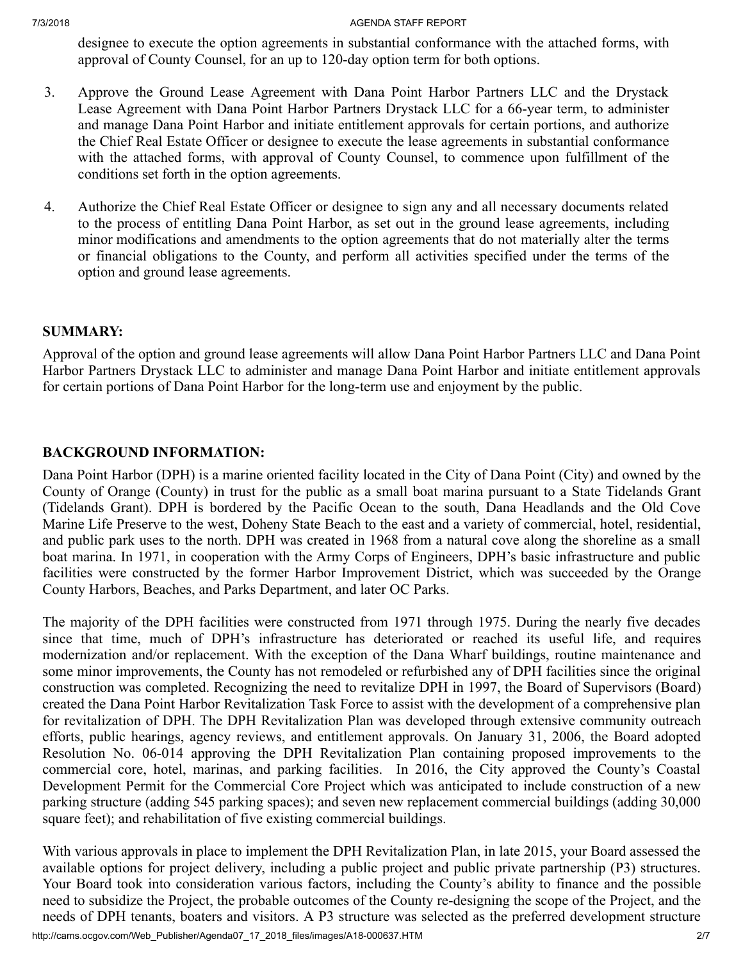7/3/2018 AGENDA STAFF REPORT

designee to execute the option agreements in substantial conformance with the attached forms, with approval of County Counsel, for an up to 120-day option term for both options.

- 3. Approve the Ground Lease Agreement with Dana Point Harbor Partners LLC and the Drystack Lease Agreement with Dana Point Harbor Partners Drystack LLC for a 66-year term, to administer and manage Dana Point Harbor and initiate entitlement approvals for certain portions, and authorize the Chief Real Estate Officer or designee to execute the lease agreements in substantial conformance with the attached forms, with approval of County Counsel, to commence upon fulfillment of the conditions set forth in the option agreements.
- 4. Authorize the Chief Real Estate Officer or designee to sign any and all necessary documents related to the process of entitling Dana Point Harbor, as set out in the ground lease agreements, including minor modifications and amendments to the option agreements that do not materially alter the terms or financial obligations to the County, and perform all activities specified under the terms of the option and ground lease agreements.

# **SUMMARY:**

Approval of the option and ground lease agreements will allow Dana Point Harbor Partners LLC and Dana Point Harbor Partners Drystack LLC to administer and manage Dana Point Harbor and initiate entitlement approvals for certain portions of Dana Point Harbor for the long-term use and enjoyment by the public.

# **BACKGROUND INFORMATION:**

Dana Point Harbor (DPH) is a marine oriented facility located in the City of Dana Point (City) and owned by the County of Orange (County) in trust for the public as a small boat marina pursuant to a State Tidelands Grant (Tidelands Grant). DPH is bordered by the Pacific Ocean to the south, Dana Headlands and the Old Cove Marine Life Preserve to the west, Doheny State Beach to the east and a variety of commercial, hotel, residential, and public park uses to the north. DPH was created in 1968 from a natural cove along the shoreline as a small boat marina. In 1971, in cooperation with the Army Corps of Engineers, DPH's basic infrastructure and public facilities were constructed by the former Harbor Improvement District, which was succeeded by the Orange County Harbors, Beaches, and Parks Department, and later OC Parks.

The majority of the DPH facilities were constructed from 1971 through 1975. During the nearly five decades since that time, much of DPH's infrastructure has deteriorated or reached its useful life, and requires modernization and/or replacement. With the exception of the Dana Wharf buildings, routine maintenance and some minor improvements, the County has not remodeled or refurbished any of DPH facilities since the original construction was completed. Recognizing the need to revitalize DPH in 1997, the Board of Supervisors (Board) created the Dana Point Harbor Revitalization Task Force to assist with the development of a comprehensive plan for revitalization of DPH. The DPH Revitalization Plan was developed through extensive community outreach efforts, public hearings, agency reviews, and entitlement approvals. On January 31, 2006, the Board adopted Resolution No. 06-014 approving the DPH Revitalization Plan containing proposed improvements to the commercial core, hotel, marinas, and parking facilities. In 2016, the City approved the County's Coastal Development Permit for the Commercial Core Project which was anticipated to include construction of a new parking structure (adding 545 parking spaces); and seven new replacement commercial buildings (adding 30,000 square feet); and rehabilitation of five existing commercial buildings.

http://cams.ocgov.com/Web\_Publisher/Agenda07\_17\_2018\_files/images/A18-000637.HTM 2/7 With various approvals in place to implement the DPH Revitalization Plan, in late 2015, your Board assessed the available options for project delivery, including a public project and public private partnership (P3) structures. Your Board took into consideration various factors, including the County's ability to finance and the possible need to subsidize the Project, the probable outcomes of the County re-designing the scope of the Project, and the needs of DPH tenants, boaters and visitors. A P3 structure was selected as the preferred development structure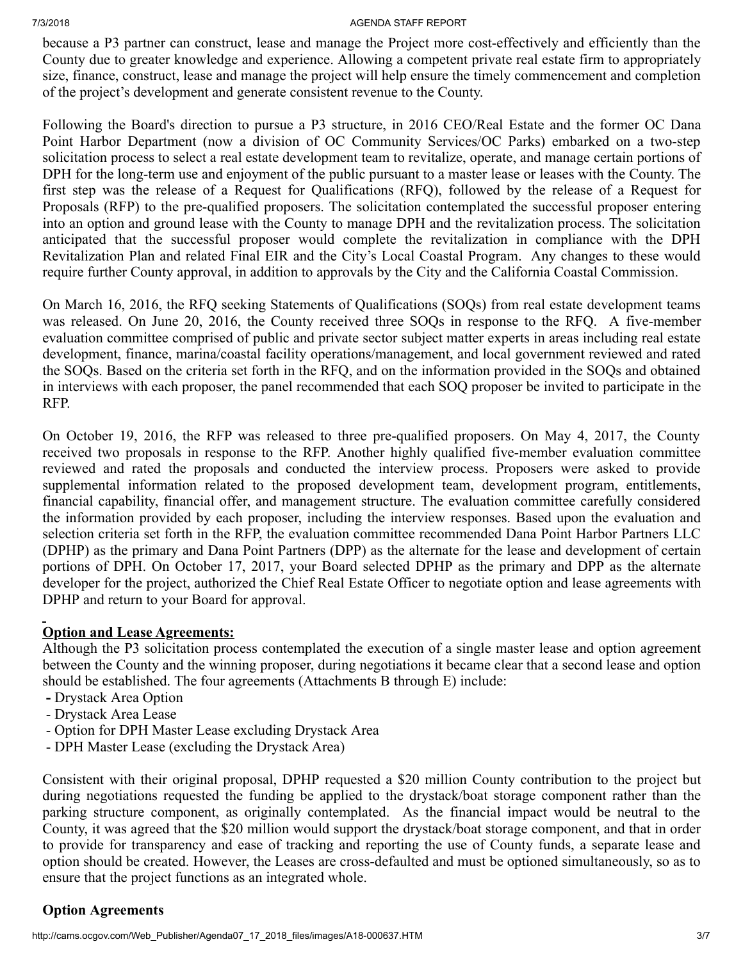#### 7/3/2018 AGENDA STAFF REPORT

because a P3 partner can construct, lease and manage the Project more cost-effectively and efficiently than the County due to greater knowledge and experience. Allowing a competent private real estate firm to appropriately size, finance, construct, lease and manage the project will help ensure the timely commencement and completion of the project's development and generate consistent revenue to the County.

Following the Board's direction to pursue a P3 structure, in 2016 CEO/Real Estate and the former OC Dana Point Harbor Department (now a division of OC Community Services/OC Parks) embarked on a two-step solicitation process to select a real estate development team to revitalize, operate, and manage certain portions of DPH for the long-term use and enjoyment of the public pursuant to a master lease or leases with the County. The first step was the release of a Request for Qualifications (RFQ), followed by the release of a Request for Proposals (RFP) to the pre-qualified proposers. The solicitation contemplated the successful proposer entering into an option and ground lease with the County to manage DPH and the revitalization process. The solicitation anticipated that the successful proposer would complete the revitalization in compliance with the DPH Revitalization Plan and related Final EIR and the City's Local Coastal Program. Any changes to these would require further County approval, in addition to approvals by the City and the California Coastal Commission.

On March 16, 2016, the RFQ seeking Statements of Qualifications (SOQs) from real estate development teams was released. On June 20, 2016, the County received three SOQs in response to the RFQ. A five-member evaluation committee comprised of public and private sector subject matter experts in areas including real estate development, finance, marina/coastal facility operations/management, and local government reviewed and rated the SOQs. Based on the criteria set forth in the RFQ, and on the information provided in the SOQs and obtained in interviews with each proposer, the panel recommended that each SOQ proposer be invited to participate in the RFP.

On October 19, 2016, the RFP was released to three pre-qualified proposers. On May 4, 2017, the County received two proposals in response to the RFP. Another highly qualified five-member evaluation committee reviewed and rated the proposals and conducted the interview process. Proposers were asked to provide supplemental information related to the proposed development team, development program, entitlements, financial capability, financial offer, and management structure. The evaluation committee carefully considered the information provided by each proposer, including the interview responses. Based upon the evaluation and selection criteria set forth in the RFP, the evaluation committee recommended Dana Point Harbor Partners LLC (DPHP) as the primary and Dana Point Partners (DPP) as the alternate for the lease and development of certain portions of DPH. On October 17, 2017, your Board selected DPHP as the primary and DPP as the alternate developer for the project, authorized the Chief Real Estate Officer to negotiate option and lease agreements with DPHP and return to your Board for approval.

# **Option and Lease Agreements:**

Although the P3 solicitation process contemplated the execution of a single master lease and option agreement between the County and the winning proposer, during negotiations it became clear that a second lease and option should be established. The four agreements (Attachments B through E) include:

- Drystack Area Option
- Drystack Area Lease
- Option for DPH Master Lease excluding Drystack Area
- DPH Master Lease (excluding the Drystack Area)

Consistent with their original proposal, DPHP requested a \$20 million County contribution to the project but during negotiations requested the funding be applied to the drystack/boat storage component rather than the parking structure component, as originally contemplated. As the financial impact would be neutral to the County, it was agreed that the \$20 million would support the drystack/boat storage component, and that in order to provide for transparency and ease of tracking and reporting the use of County funds, a separate lease and option should be created. However, the Leases are cross-defaulted and must be optioned simultaneously, so as to ensure that the project functions as an integrated whole.

# **Option Agreements**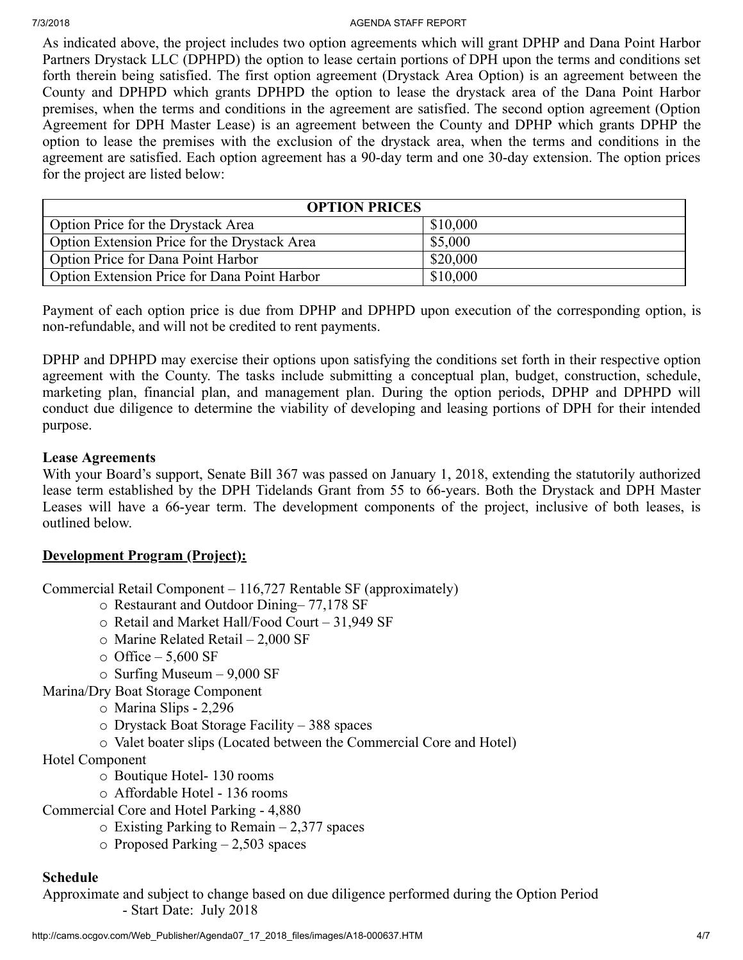#### 7/3/2018 AGENDA STAFF REPORT

As indicated above, the project includes two option agreements which will grant DPHP and Dana Point Harbor Partners Drystack LLC (DPHPD) the option to lease certain portions of DPH upon the terms and conditions set forth therein being satisfied. The first option agreement (Drystack Area Option) is an agreement between the County and DPHPD which grants DPHPD the option to lease the drystack area of the Dana Point Harbor premises, when the terms and conditions in the agreement are satisfied. The second option agreement (Option Agreement for DPH Master Lease) is an agreement between the County and DPHP which grants DPHP the option to lease the premises with the exclusion of the drystack area, when the terms and conditions in the agreement are satisfied. Each option agreement has a 90-day term and one 30-day extension. The option prices for the project are listed below:

| <b>OPTION PRICES</b>                         |          |  |  |
|----------------------------------------------|----------|--|--|
| Option Price for the Drystack Area           | \$10,000 |  |  |
| Option Extension Price for the Drystack Area | \$5,000  |  |  |
| <b>Option Price for Dana Point Harbor</b>    | \$20,000 |  |  |
| Option Extension Price for Dana Point Harbor | \$10,000 |  |  |

Payment of each option price is due from DPHP and DPHPD upon execution of the corresponding option, is non-refundable, and will not be credited to rent payments.

DPHP and DPHPD may exercise their options upon satisfying the conditions set forth in their respective option agreement with the County. The tasks include submitting a conceptual plan, budget, construction, schedule, marketing plan, financial plan, and management plan. During the option periods, DPHP and DPHPD will conduct due diligence to determine the viability of developing and leasing portions of DPH for their intended purpose.

# **Lease Agreements**

With your Board's support, Senate Bill 367 was passed on January 1, 2018, extending the statutorily authorized lease term established by the DPH Tidelands Grant from 55 to 66-years. Both the Drystack and DPH Master Leases will have a 66-year term. The development components of the project, inclusive of both leases, is outlined below.

# **Development Program (Project):**

Commercial Retail Component – 116,727 Rentable SF (approximately)

- o Restaurant and Outdoor Dining– 77,178 SF
- o Retail and Market Hall/Food Court 31,949 SF
- o Marine Related Retail 2,000 SF
- $\circ$  Office 5,600 SF
- o Surfing Museum 9,000 SF
- Marina/Dry Boat Storage Component
	- o Marina Slips 2,296
	- o Drystack Boat Storage Facility 388 spaces
	- o Valet boater slips (Located between the Commercial Core and Hotel)
- Hotel Component
	- o Boutique Hotel- 130 rooms
	- o Affordable Hotel 136 rooms
- Commercial Core and Hotel Parking 4,880
	- $\circ$  Existing Parking to Remain 2,377 spaces
	- $\circ$  Proposed Parking 2,503 spaces

# **Schedule**

Approximate and subject to change based on due diligence performed during the Option Period - Start Date: July 2018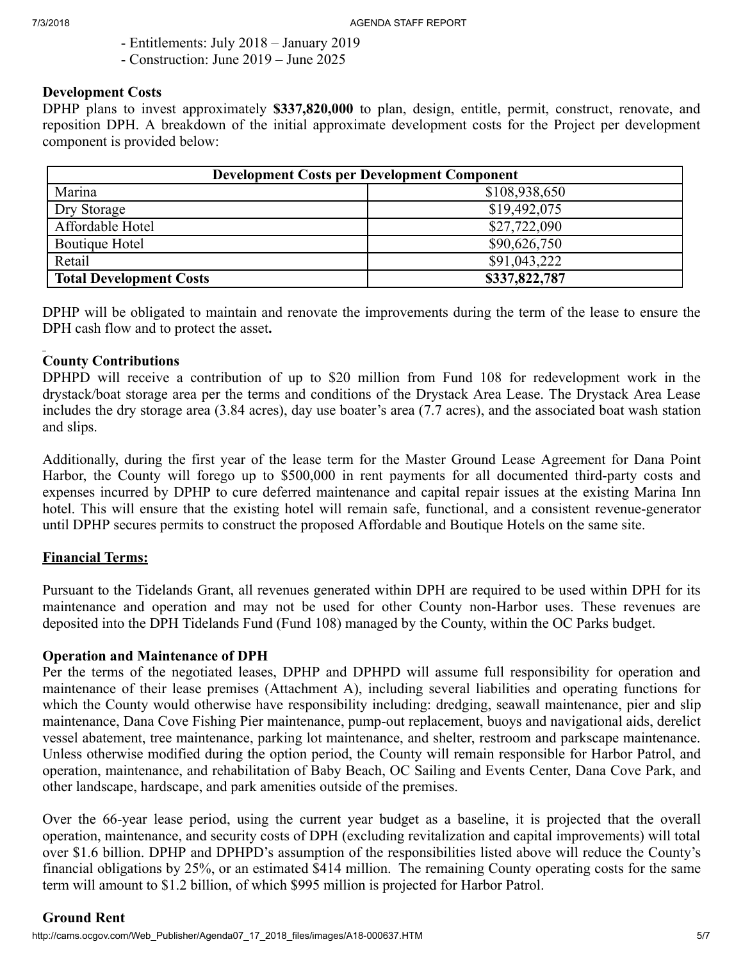- Entitlements: July 2018 January 2019
- Construction: June 2019 June 2025

# **Development Costs**

DPHP plans to invest approximately **\$337,820,000** to plan, design, entitle, permit, construct, renovate, and reposition DPH. A breakdown of the initial approximate development costs for the Project per development component is provided below:

| <b>Development Costs per Development Component</b> |               |  |  |
|----------------------------------------------------|---------------|--|--|
| Marina                                             | \$108,938,650 |  |  |
| Dry Storage                                        | \$19,492,075  |  |  |
| Affordable Hotel                                   | \$27,722,090  |  |  |
| Boutique Hotel                                     | \$90,626,750  |  |  |
| Retail                                             | \$91,043,222  |  |  |
| <b>Total Development Costs</b>                     | \$337,822,787 |  |  |

DPHP will be obligated to maintain and renovate the improvements during the term of the lease to ensure the DPH cash flow and to protect the asset**.**

# **County Contributions**

DPHPD will receive a contribution of up to \$20 million from Fund 108 for redevelopment work in the drystack/boat storage area per the terms and conditions of the Drystack Area Lease. The Drystack Area Lease includes the dry storage area (3.84 acres), day use boater's area (7.7 acres), and the associated boat wash station and slips.

Additionally, during the first year of the lease term for the Master Ground Lease Agreement for Dana Point Harbor, the County will forego up to \$500,000 in rent payments for all documented third-party costs and expenses incurred by DPHP to cure deferred maintenance and capital repair issues at the existing Marina Inn hotel. This will ensure that the existing hotel will remain safe, functional, and a consistent revenue-generator until DPHP secures permits to construct the proposed Affordable and Boutique Hotels on the same site.

# **Financial Terms:**

Pursuant to the Tidelands Grant, all revenues generated within DPH are required to be used within DPH for its maintenance and operation and may not be used for other County non-Harbor uses. These revenues are deposited into the DPH Tidelands Fund (Fund 108) managed by the County, within the OC Parks budget.

# **Operation and Maintenance of DPH**

Per the terms of the negotiated leases, DPHP and DPHPD will assume full responsibility for operation and maintenance of their lease premises (Attachment A), including several liabilities and operating functions for which the County would otherwise have responsibility including: dredging, seawall maintenance, pier and slip maintenance, Dana Cove Fishing Pier maintenance, pump-out replacement, buoys and navigational aids, derelict vessel abatement, tree maintenance, parking lot maintenance, and shelter, restroom and parkscape maintenance. Unless otherwise modified during the option period, the County will remain responsible for Harbor Patrol, and operation, maintenance, and rehabilitation of Baby Beach, OC Sailing and Events Center, Dana Cove Park, and other landscape, hardscape, and park amenities outside of the premises.

Over the 66-year lease period, using the current year budget as a baseline, it is projected that the overall operation, maintenance, and security costs of DPH (excluding revitalization and capital improvements) will total over \$1.6 billion. DPHP and DPHPD's assumption of the responsibilities listed above will reduce the County's financial obligations by 25%, or an estimated \$414 million. The remaining County operating costs for the same term will amount to \$1.2 billion, of which \$995 million is projected for Harbor Patrol.

# **Ground Rent**

http://cams.ocgov.com/Web\_Publisher/Agenda07\_17\_2018\_files/images/A18-000637.HTM 5/7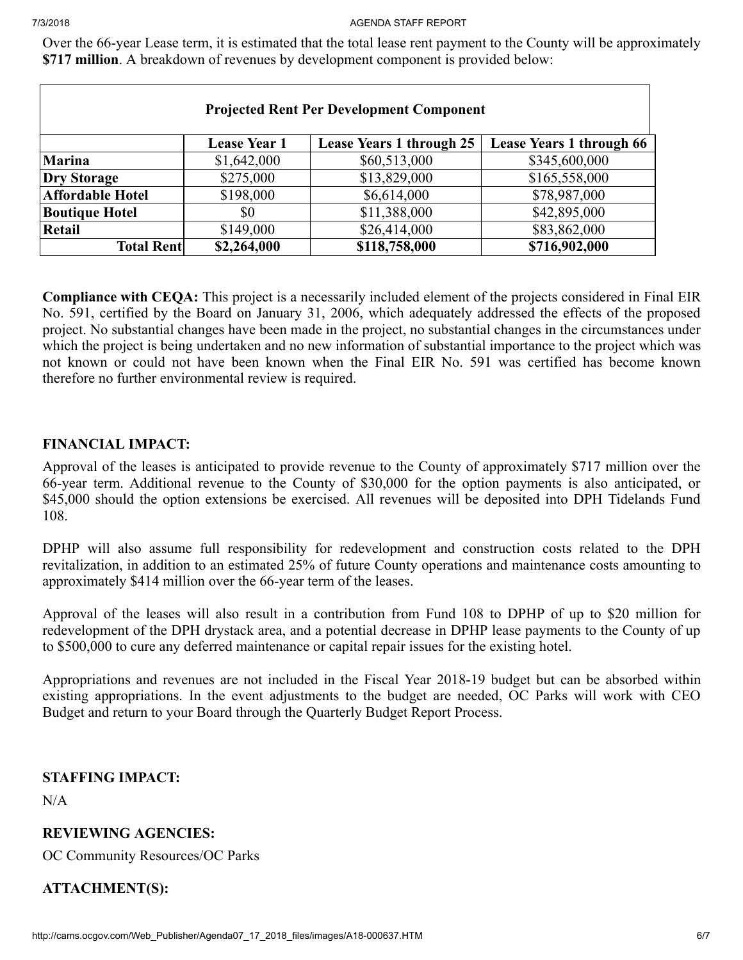Over the 66-year Lease term, it is estimated that the total lease rent payment to the County will be approximately **\$717 million**. A breakdown of revenues by development component is provided below:

| <b>Projected Rent Per Development Component</b> |                     |                                 |                          |  |  |
|-------------------------------------------------|---------------------|---------------------------------|--------------------------|--|--|
|                                                 | <b>Lease Year 1</b> | <b>Lease Years 1 through 25</b> | Lease Years 1 through 66 |  |  |
| <b>Marina</b>                                   | \$1,642,000         | \$60,513,000                    | \$345,600,000            |  |  |
| <b>Dry Storage</b>                              | \$275,000           | \$13,829,000                    | \$165,558,000            |  |  |
| <b>Affordable Hotel</b>                         | \$198,000           | \$6,614,000                     | \$78,987,000             |  |  |
| <b>Boutique Hotel</b>                           | \$0                 | \$11,388,000                    | \$42,895,000             |  |  |
| <b>Retail</b>                                   | \$149,000           | \$26,414,000                    | \$83,862,000             |  |  |
| <b>Total Rent</b>                               | \$2,264,000         | \$118,758,000                   | \$716,902,000            |  |  |

**Compliance with CEQA:** This project is a necessarily included element of the projects considered in Final EIR No. 591, certified by the Board on January 31, 2006, which adequately addressed the effects of the proposed project. No substantial changes have been made in the project, no substantial changes in the circumstances under which the project is being undertaken and no new information of substantial importance to the project which was not known or could not have been known when the Final EIR No. 591 was certified has become known therefore no further environmental review is required.

# **FINANCIAL IMPACT:**

Approval of the leases is anticipated to provide revenue to the County of approximately \$717 million over the 66-year term. Additional revenue to the County of \$30,000 for the option payments is also anticipated, or \$45,000 should the option extensions be exercised. All revenues will be deposited into DPH Tidelands Fund 108.

DPHP will also assume full responsibility for redevelopment and construction costs related to the DPH revitalization, in addition to an estimated 25% of future County operations and maintenance costs amounting to approximately \$414 million over the 66-year term of the leases.

Approval of the leases will also result in a contribution from Fund 108 to DPHP of up to \$20 million for redevelopment of the DPH drystack area, and a potential decrease in DPHP lease payments to the County of up to \$500,000 to cure any deferred maintenance or capital repair issues for the existing hotel.

Appropriations and revenues are not included in the Fiscal Year 2018-19 budget but can be absorbed within existing appropriations. In the event adjustments to the budget are needed, OC Parks will work with CEO Budget and return to your Board through the Quarterly Budget Report Process.

# **STAFFING IMPACT:**

 $N/A$ 

# **REVIEWING AGENCIES:**

OC Community Resources/OC Parks

# **ATTACHMENT(S):**